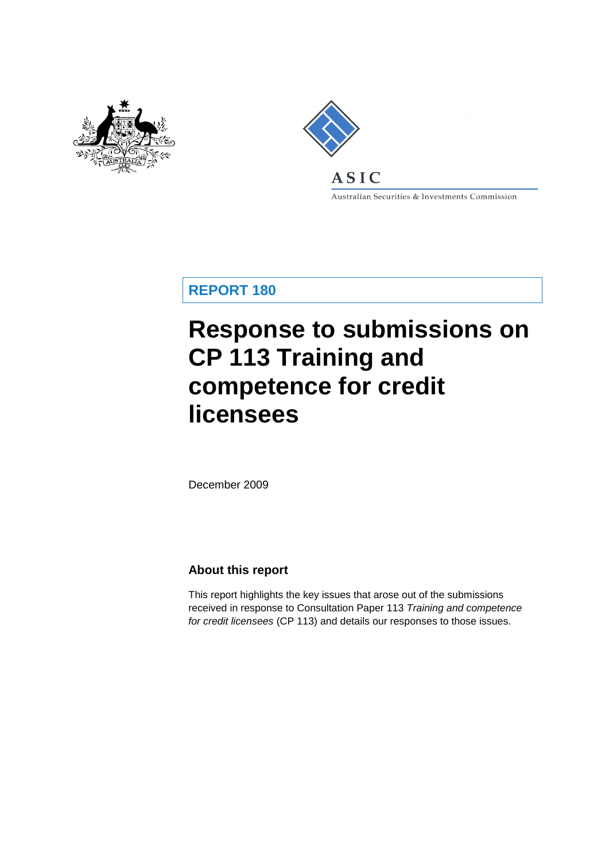



Australian Securities & Investments Commission

**REPORT 180**

# **Response to submissions on CP 113 Training and competence for credit licensees**

December 2009

### **About this report**

This report highlights the key issues that arose out of the submissions received in response to Consultation Paper 113 *Training and competence for credit licensees* (CP 113) and details our responses to those issues.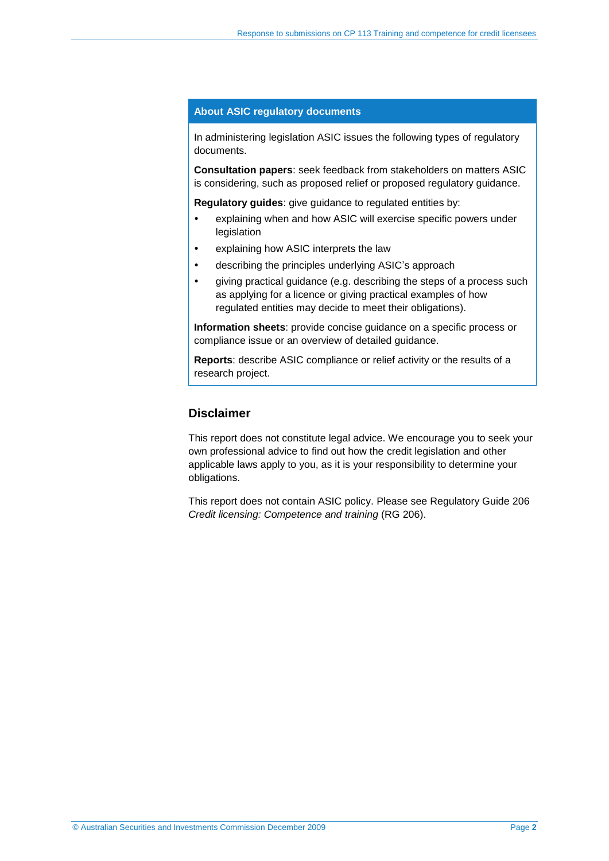#### **About ASIC regulatory documents**

In administering legislation ASIC issues the following types of regulatory documents.

**Consultation papers**: seek feedback from stakeholders on matters ASIC is considering, such as proposed relief or proposed regulatory guidance.

**Regulatory guides**: give guidance to regulated entities by:

- explaining when and how ASIC will exercise specific powers under legislation
- explaining how ASIC interprets the law
- describing the principles underlying ASIC's approach
- giving practical guidance (e.g. describing the steps of a process such as applying for a licence or giving practical examples of how regulated entities may decide to meet their obligations).

**Information sheets**: provide concise guidance on a specific process or compliance issue or an overview of detailed guidance.

**Reports**: describe ASIC compliance or relief activity or the results of a research project.

#### **Disclaimer**

This report does not constitute legal advice. We encourage you to seek your own professional advice to find out how the credit legislation and other applicable laws apply to you, as it is your responsibility to determine your obligations.

This report does not contain ASIC policy. Please see Regulatory Guide 206 *Credit licensing: Competence and training* (RG 206).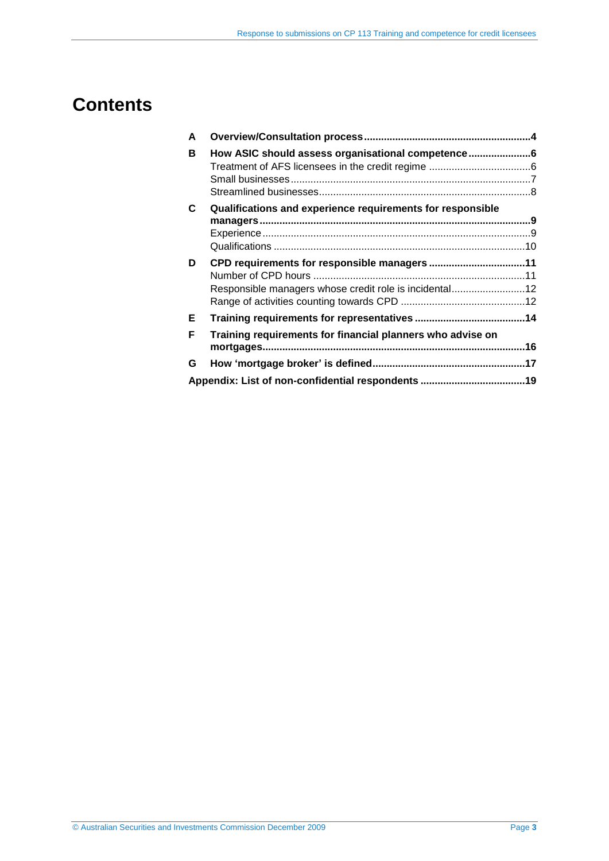# **Contents**

| A       |                                                            |  |
|---------|------------------------------------------------------------|--|
| в       | How ASIC should assess organisational competence6          |  |
| C       | Qualifications and experience requirements for responsible |  |
| D       | Responsible managers whose credit role is incidental12     |  |
| E.<br>F | Training requirements for financial planners who advise on |  |
| G       |                                                            |  |
|         |                                                            |  |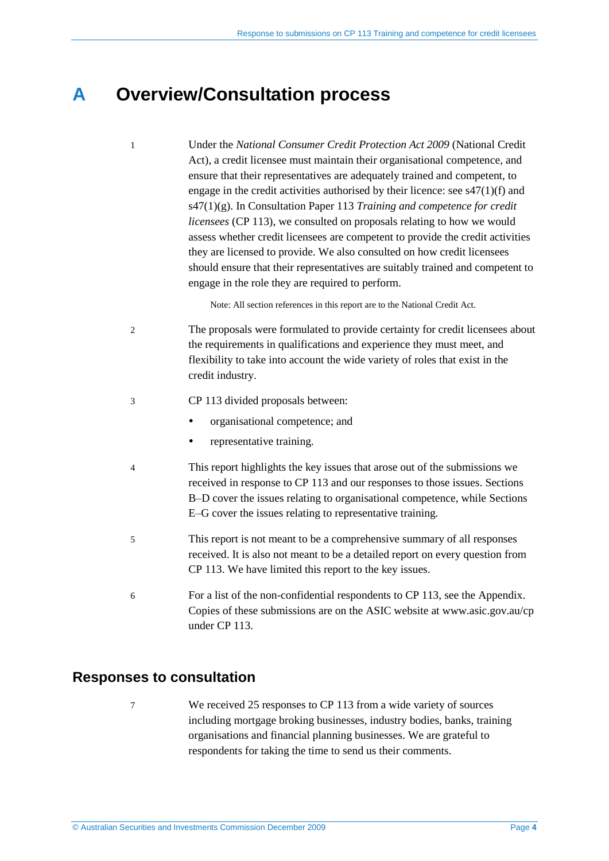# <span id="page-3-0"></span>**A Overview/Consultation process**

1 Under the *National Consumer Credit Protection Act 2009* (National Credit Act), a credit licensee must maintain their organisational competence, and ensure that their representatives are adequately trained and competent, to engage in the credit activities authorised by their licence: see s47(1)(f) and s47(1)(g). In Consultation Paper 113 *Training and competence for credit licensees* (CP 113), we consulted on proposals relating to how we would assess whether credit licensees are competent to provide the credit activities they are licensed to provide. We also consulted on how credit licensees should ensure that their representatives are suitably trained and competent to engage in the role they are required to perform.

Note: All section references in this report are to the National Credit Act.

- 2 The proposals were formulated to provide certainty for credit licensees about the requirements in qualifications and experience they must meet, and flexibility to take into account the wide variety of roles that exist in the credit industry.
- 3 CP 113 divided proposals between:
	- organisational competence; and
	- representative training.
- 4 This report highlights the key issues that arose out of the submissions we received in response to CP 113 and our responses to those issues. Sections [B–](#page-5-0)[D](#page-10-0) cover the issues relating to organisational competence, while Sections E[–G](#page-16-0) cover the issues relating to representative training.
- 5 This report is not meant to be a comprehensive summary of all responses received. It is also not meant to be a detailed report on every question from CP 113. We have limited this report to the key issues.
- 6 For a list of the non-confidential respondents to CP 113, see the Appendix. Copies of these submissions are on the ASIC website at www.asic.gov.au/cp under CP 113.

### **Responses to consultation**

7 We received 25 responses to CP 113 from a wide variety of sources including mortgage broking businesses, industry bodies, banks, training organisations and financial planning businesses. We are grateful to respondents for taking the time to send us their comments.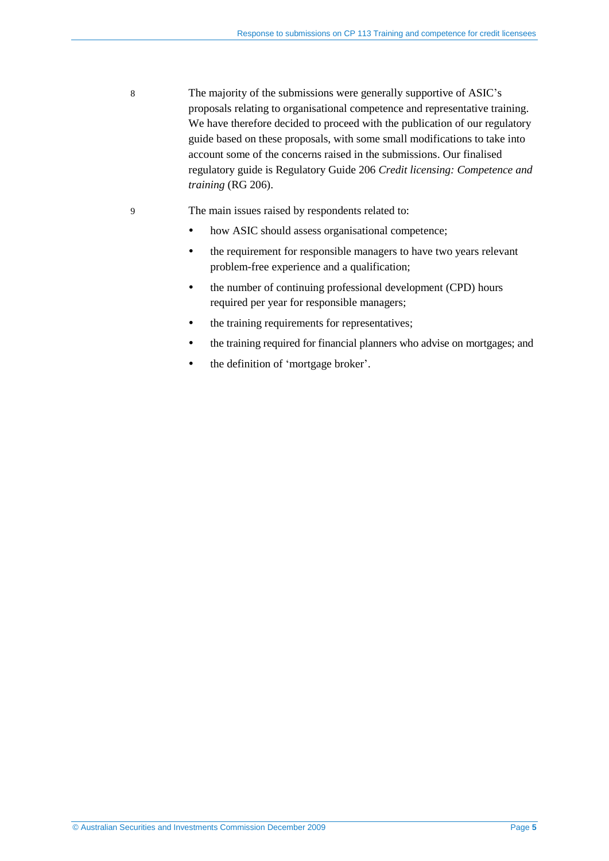8 The majority of the submissions were generally supportive of ASIC's proposals relating to organisational competence and representative training. We have therefore decided to proceed with the publication of our regulatory guide based on these proposals, with some small modifications to take into account some of the concerns raised in the submissions. Our finalised regulatory guide is Regulatory Guide 206 *Credit licensing: Competence and training* (RG 206).

#### 9 The main issues raised by respondents related to:

- how ASIC should assess organisational competence;
- the requirement for responsible managers to have two years relevant problem-free experience and a qualification;
- the number of continuing professional development (CPD) hours required per year for responsible managers;
- the training requirements for representatives;
- the training required for financial planners who advise on mortgages; and
- the definition of 'mortgage broker'.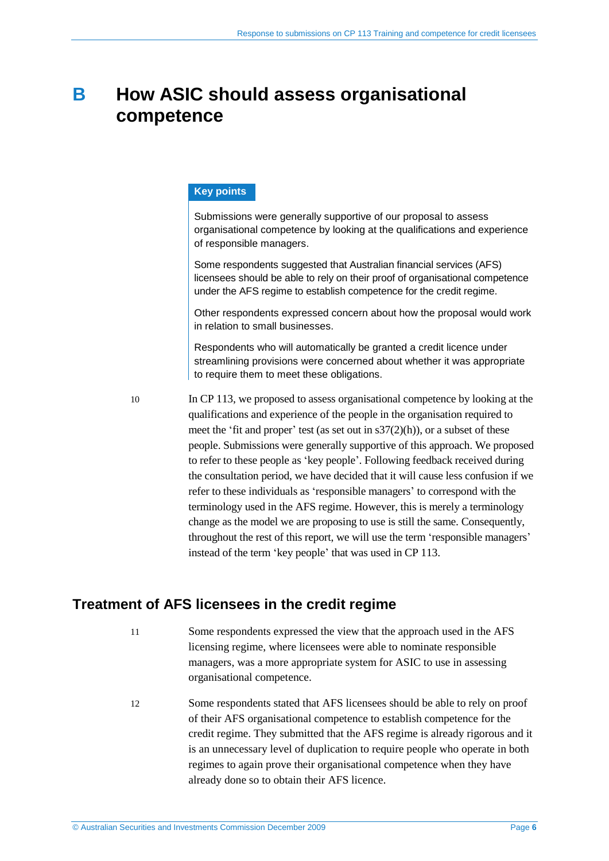# <span id="page-5-0"></span>**B How ASIC should assess organisational competence**

#### **Key points**

Submissions were generally supportive of our proposal to assess organisational competence by looking at the qualifications and experience of responsible managers.

Some respondents suggested that Australian financial services (AFS) licensees should be able to rely on their proof of organisational competence under the AFS regime to establish competence for the credit regime.

Other respondents expressed concern about how the proposal would work in relation to small businesses.

Respondents who will automatically be granted a credit licence under streamlining provisions were concerned about whether it was appropriate to require them to meet these obligations.

10 In CP 113, we proposed to assess organisational competence by looking at the qualifications and experience of the people in the organisation required to meet the 'fit and proper' test (as set out in s37(2)(h)), or a subset of these people. Submissions were generally supportive of this approach. We proposed to refer to these people as 'key people'. Following feedback received during the consultation period, we have decided that it will cause less confusion if we refer to these individuals as 'responsible managers' to correspond with the terminology used in the AFS regime. However, this is merely a terminology change as the model we are proposing to use is still the same. Consequently, throughout the rest of this report, we will use the term 'responsible managers' instead of the term 'key people' that was used in CP 113.

### <span id="page-5-1"></span>**Treatment of AFS licensees in the credit regime**

- 11 Some respondents expressed the view that the approach used in the AFS licensing regime, where licensees were able to nominate responsible managers, was a more appropriate system for ASIC to use in assessing organisational competence.
- 12 Some respondents stated that AFS licensees should be able to rely on proof of their AFS organisational competence to establish competence for the credit regime. They submitted that the AFS regime is already rigorous and it is an unnecessary level of duplication to require people who operate in both regimes to again prove their organisational competence when they have already done so to obtain their AFS licence.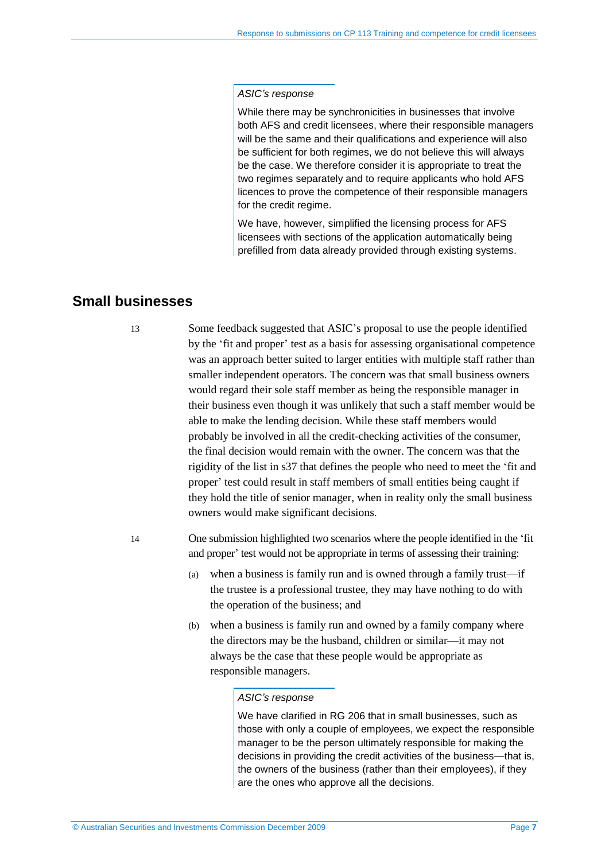#### *ASIC's response*

While there may be synchronicities in businesses that involve both AFS and credit licensees, where their responsible managers will be the same and their qualifications and experience will also be sufficient for both regimes, we do not believe this will always be the case. We therefore consider it is appropriate to treat the two regimes separately and to require applicants who hold AFS licences to prove the competence of their responsible managers for the credit regime.

We have, however, simplified the licensing process for AFS licensees with sections of the application automatically being prefilled from data already provided through existing systems.

### <span id="page-6-0"></span>**Small businesses**

13 Some feedback suggested that ASIC's proposal to use the people identified by the 'fit and proper' test as a basis for assessing organisational competence was an approach better suited to larger entities with multiple staff rather than smaller independent operators. The concern was that small business owners would regard their sole staff member as being the responsible manager in their business even though it was unlikely that such a staff member would be able to make the lending decision. While these staff members would probably be involved in all the credit-checking activities of the consumer, the final decision would remain with the owner. The concern was that the rigidity of the list in s37 that defines the people who need to meet the 'fit and proper' test could result in staff members of small entities being caught if they hold the title of senior manager, when in reality only the small business owners would make significant decisions.

14 One submission highlighted two scenarios where the people identified in the 'fit and proper' test would not be appropriate in terms of assessing their training:

- (a) when a business is family run and is owned through a family trust—if the trustee is a professional trustee, they may have nothing to do with the operation of the business; and
- (b) when a business is family run and owned by a family company where the directors may be the husband, children or similar—it may not always be the case that these people would be appropriate as responsible managers.

#### *ASIC's response*

We have clarified in RG 206 that in small businesses, such as those with only a couple of employees, we expect the responsible manager to be the person ultimately responsible for making the decisions in providing the credit activities of the business—that is, the owners of the business (rather than their employees), if they are the ones who approve all the decisions.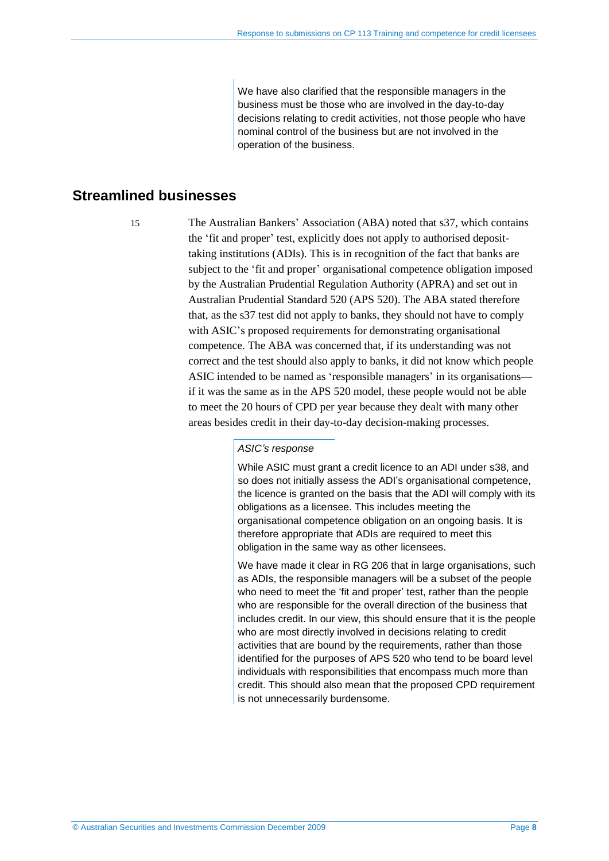We have also clarified that the responsible managers in the business must be those who are involved in the day-to-day decisions relating to credit activities, not those people who have nominal control of the business but are not involved in the operation of the business.

### <span id="page-7-0"></span>**Streamlined businesses**

15 The Australian Bankers' Association (ABA) noted that s37, which contains the 'fit and proper' test, explicitly does not apply to authorised deposittaking institutions (ADIs). This is in recognition of the fact that banks are subject to the 'fit and proper' organisational competence obligation imposed by the Australian Prudential Regulation Authority (APRA) and set out in Australian Prudential Standard 520 (APS 520). The ABA stated therefore that, as the s37 test did not apply to banks, they should not have to comply with ASIC's proposed requirements for demonstrating organisational competence. The ABA was concerned that, if its understanding was not correct and the test should also apply to banks, it did not know which people ASIC intended to be named as 'responsible managers' in its organisations if it was the same as in the APS 520 model, these people would not be able to meet the 20 hours of CPD per year because they dealt with many other areas besides credit in their day-to-day decision-making processes.

#### *ASIC's response*

While ASIC must grant a credit licence to an ADI under s38, and so does not initially assess the ADI's organisational competence, the licence is granted on the basis that the ADI will comply with its obligations as a licensee. This includes meeting the organisational competence obligation on an ongoing basis. It is therefore appropriate that ADIs are required to meet this obligation in the same way as other licensees.

We have made it clear in RG 206 that in large organisations, such as ADIs, the responsible managers will be a subset of the people who need to meet the 'fit and proper' test, rather than the people who are responsible for the overall direction of the business that includes credit. In our view, this should ensure that it is the people who are most directly involved in decisions relating to credit activities that are bound by the requirements, rather than those identified for the purposes of APS 520 who tend to be board level individuals with responsibilities that encompass much more than credit. This should also mean that the proposed CPD requirement is not unnecessarily burdensome.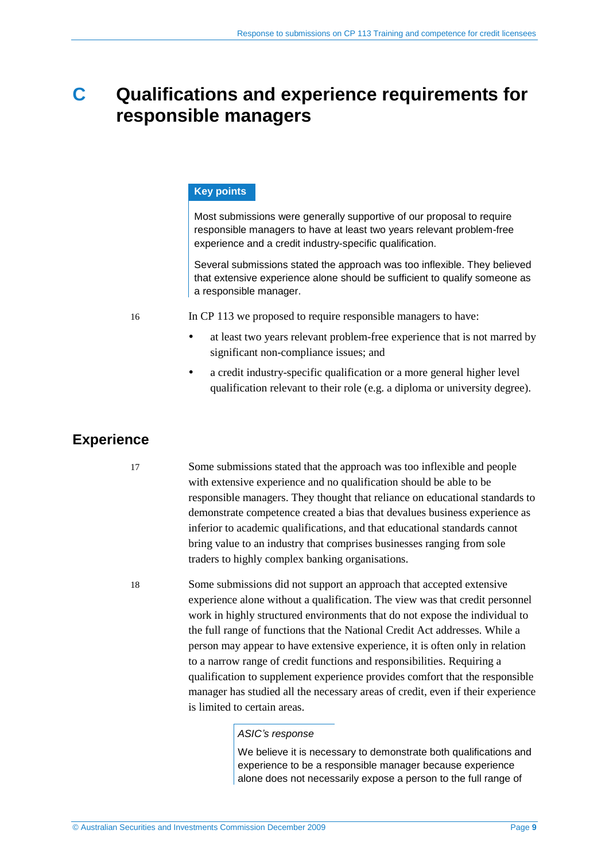# <span id="page-8-0"></span>**C Qualifications and experience requirements for responsible managers**

#### **Key points**

Most submissions were generally supportive of our proposal to require responsible managers to have at least two years relevant problem-free experience and a credit industry-specific qualification.

Several submissions stated the approach was too inflexible. They believed that extensive experience alone should be sufficient to qualify someone as a responsible manager.

16 In CP 113 we proposed to require responsible managers to have:

- at least two years relevant problem-free experience that is not marred by significant non-compliance issues; and
- a credit industry-specific qualification or a more general higher level qualification relevant to their role (e.g. a diploma or university degree).

### <span id="page-8-1"></span>**Experience**

17 Some submissions stated that the approach was too inflexible and people with extensive experience and no qualification should be able to be responsible managers. They thought that reliance on educational standards to demonstrate competence created a bias that devalues business experience as inferior to academic qualifications, and that educational standards cannot bring value to an industry that comprises businesses ranging from sole traders to highly complex banking organisations.

18 Some submissions did not support an approach that accepted extensive experience alone without a qualification. The view was that credit personnel work in highly structured environments that do not expose the individual to the full range of functions that the National Credit Act addresses. While a person may appear to have extensive experience, it is often only in relation to a narrow range of credit functions and responsibilities. Requiring a qualification to supplement experience provides comfort that the responsible manager has studied all the necessary areas of credit, even if their experience is limited to certain areas.

#### *ASIC's response*

We believe it is necessary to demonstrate both qualifications and experience to be a responsible manager because experience alone does not necessarily expose a person to the full range of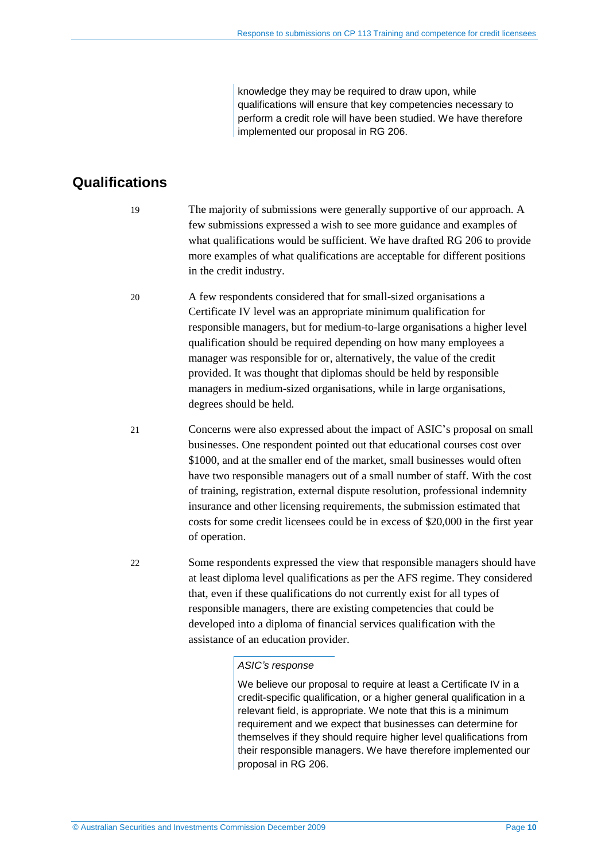knowledge they may be required to draw upon, while qualifications will ensure that key competencies necessary to perform a credit role will have been studied. We have therefore implemented our proposal in RG 206.

## <span id="page-9-0"></span>**Qualifications**

- 19 The majority of submissions were generally supportive of our approach. A few submissions expressed a wish to see more guidance and examples of what qualifications would be sufficient. We have drafted RG 206 to provide more examples of what qualifications are acceptable for different positions in the credit industry.
- 20 A few respondents considered that for small-sized organisations a Certificate IV level was an appropriate minimum qualification for responsible managers, but for medium-to-large organisations a higher level qualification should be required depending on how many employees a manager was responsible for or, alternatively, the value of the credit provided. It was thought that diplomas should be held by responsible managers in medium-sized organisations, while in large organisations, degrees should be held.
- 21 Concerns were also expressed about the impact of ASIC's proposal on small businesses. One respondent pointed out that educational courses cost over \$1000, and at the smaller end of the market, small businesses would often have two responsible managers out of a small number of staff. With the cost of training, registration, external dispute resolution, professional indemnity insurance and other licensing requirements, the submission estimated that costs for some credit licensees could be in excess of \$20,000 in the first year of operation.
- 22 Some respondents expressed the view that responsible managers should have at least diploma level qualifications as per the AFS regime. They considered that, even if these qualifications do not currently exist for all types of responsible managers, there are existing competencies that could be developed into a diploma of financial services qualification with the assistance of an education provider.

#### *ASIC's response*

We believe our proposal to require at least a Certificate IV in a credit-specific qualification, or a higher general qualification in a relevant field, is appropriate. We note that this is a minimum requirement and we expect that businesses can determine for themselves if they should require higher level qualifications from their responsible managers. We have therefore implemented our proposal in RG 206.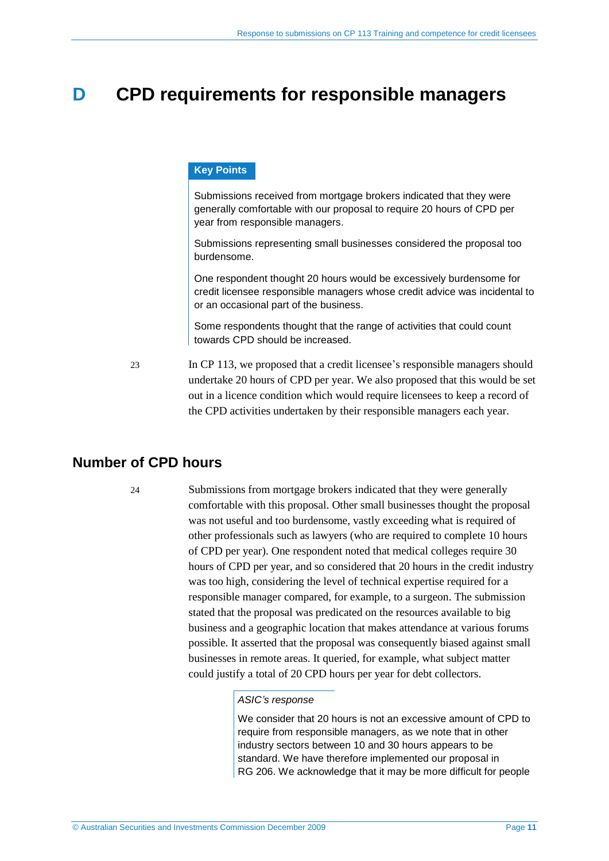# <span id="page-10-0"></span>**D CPD requirements for responsible managers**

#### **Key Points**

Submissions received from mortgage brokers indicated that they were generally comfortable with our proposal to require 20 hours of CPD per year from responsible managers.

Submissions representing small businesses considered the proposal too burdensome.

One respondent thought 20 hours would be excessively burdensome for credit licensee responsible managers whose credit advice was incidental to or an occasional part of the business.

Some respondents thought that the range of activities that could count towards CPD should be increased.

23 In CP 113, we proposed that a credit licensee's responsible managers should undertake 20 hours of CPD per year. We also proposed that this would be set out in a licence condition which would require licensees to keep a record of the CPD activities undertaken by their responsible managers each year.

### <span id="page-10-1"></span>**Number of CPD hours**

24 Submissions from mortgage brokers indicated that they were generally comfortable with this proposal. Other small businesses thought the proposal was not useful and too burdensome, vastly exceeding what is required of other professionals such as lawyers (who are required to complete 10 hours of CPD per year). One respondent noted that medical colleges require 30 hours of CPD per year, and so considered that 20 hours in the credit industry was too high, considering the level of technical expertise required for a responsible manager compared, for example, to a surgeon. The submission stated that the proposal was predicated on the resources available to big business and a geographic location that makes attendance at various forums possible. It asserted that the proposal was consequently biased against small businesses in remote areas. It queried, for example, what subject matter could justify a total of 20 CPD hours per year for debt collectors.

#### *ASIC's response*

We consider that 20 hours is not an excessive amount of CPD to require from responsible managers, as we note that in other industry sectors between 10 and 30 hours appears to be standard. We have therefore implemented our proposal in RG 206. We acknowledge that it may be more difficult for people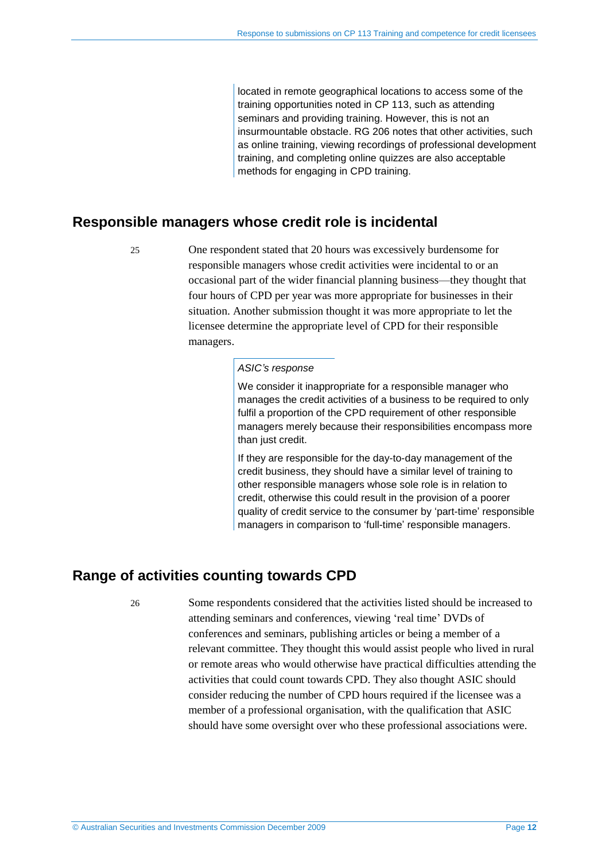located in remote geographical locations to access some of the training opportunities noted in CP 113, such as attending seminars and providing training. However, this is not an insurmountable obstacle. RG 206 notes that other activities, such as online training, viewing recordings of professional development training, and completing online quizzes are also acceptable methods for engaging in CPD training.

### <span id="page-11-0"></span>**Responsible managers whose credit role is incidental**

25 One respondent stated that 20 hours was excessively burdensome for responsible managers whose credit activities were incidental to or an occasional part of the wider financial planning business—they thought that four hours of CPD per year was more appropriate for businesses in their situation. Another submission thought it was more appropriate to let the licensee determine the appropriate level of CPD for their responsible managers.

#### *ASIC's response*

We consider it inappropriate for a responsible manager who manages the credit activities of a business to be required to only fulfil a proportion of the CPD requirement of other responsible managers merely because their responsibilities encompass more than just credit.

If they are responsible for the day-to-day management of the credit business, they should have a similar level of training to other responsible managers whose sole role is in relation to credit, otherwise this could result in the provision of a poorer quality of credit service to the consumer by 'part-time' responsible managers in comparison to 'full-time' responsible managers.

### <span id="page-11-1"></span>**Range of activities counting towards CPD**

26 Some respondents considered that the activities listed should be increased to attending seminars and conferences, viewing 'real time' DVDs of conferences and seminars, publishing articles or being a member of a relevant committee. They thought this would assist people who lived in rural or remote areas who would otherwise have practical difficulties attending the activities that could count towards CPD. They also thought ASIC should consider reducing the number of CPD hours required if the licensee was a member of a professional organisation, with the qualification that ASIC should have some oversight over who these professional associations were.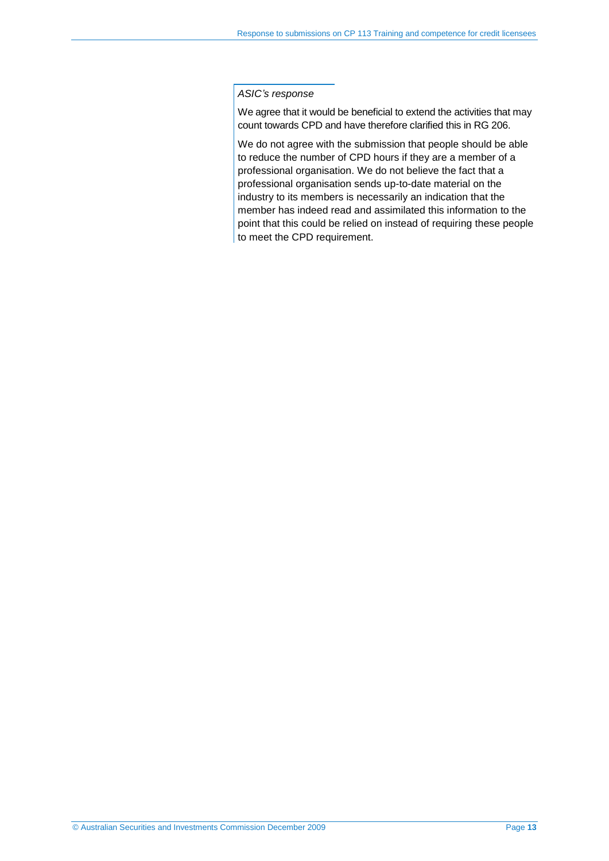#### *ASIC's response*

We agree that it would be beneficial to extend the activities that may count towards CPD and have therefore clarified this in RG 206.

We do not agree with the submission that people should be able to reduce the number of CPD hours if they are a member of a professional organisation. We do not believe the fact that a professional organisation sends up-to-date material on the industry to its members is necessarily an indication that the member has indeed read and assimilated this information to the point that this could be relied on instead of requiring these people to meet the CPD requirement.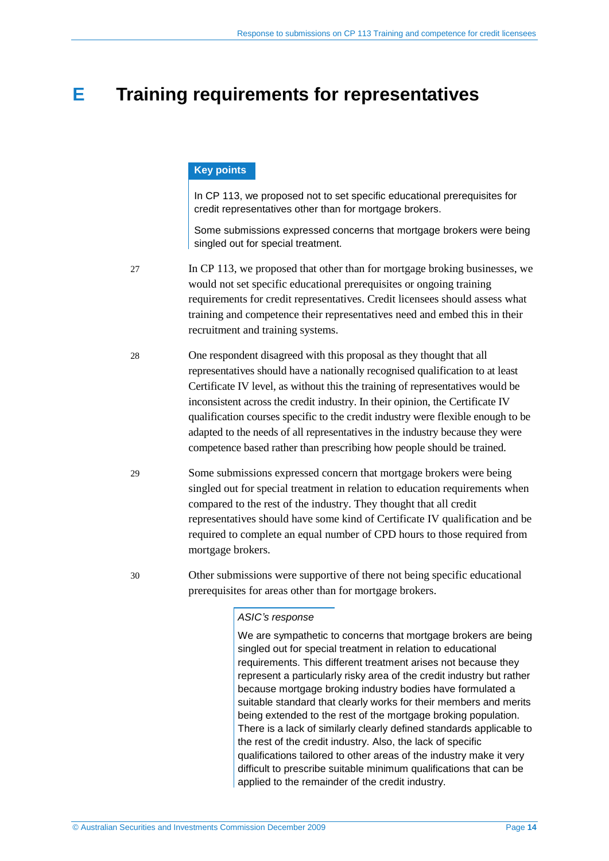# <span id="page-13-0"></span>**E Training requirements for representatives**

#### **Key points**

In CP 113, we proposed not to set specific educational prerequisites for credit representatives other than for mortgage brokers.

Some submissions expressed concerns that mortgage brokers were being singled out for special treatment.

27 In CP 113, we proposed that other than for mortgage broking businesses, we would not set specific educational prerequisites or ongoing training requirements for credit representatives. Credit licensees should assess what training and competence their representatives need and embed this in their recruitment and training systems.

- 28 One respondent disagreed with this proposal as they thought that all representatives should have a nationally recognised qualification to at least Certificate IV level, as without this the training of representatives would be inconsistent across the credit industry. In their opinion, the Certificate IV qualification courses specific to the credit industry were flexible enough to be adapted to the needs of all representatives in the industry because they were competence based rather than prescribing how people should be trained.
- 29 Some submissions expressed concern that mortgage brokers were being singled out for special treatment in relation to education requirements when compared to the rest of the industry. They thought that all credit representatives should have some kind of Certificate IV qualification and be required to complete an equal number of CPD hours to those required from mortgage brokers.

30 Other submissions were supportive of there not being specific educational prerequisites for areas other than for mortgage brokers.

#### *ASIC's response*

We are sympathetic to concerns that mortgage brokers are being singled out for special treatment in relation to educational requirements. This different treatment arises not because they represent a particularly risky area of the credit industry but rather because mortgage broking industry bodies have formulated a suitable standard that clearly works for their members and merits being extended to the rest of the mortgage broking population. There is a lack of similarly clearly defined standards applicable to the rest of the credit industry. Also, the lack of specific qualifications tailored to other areas of the industry make it very difficult to prescribe suitable minimum qualifications that can be applied to the remainder of the credit industry.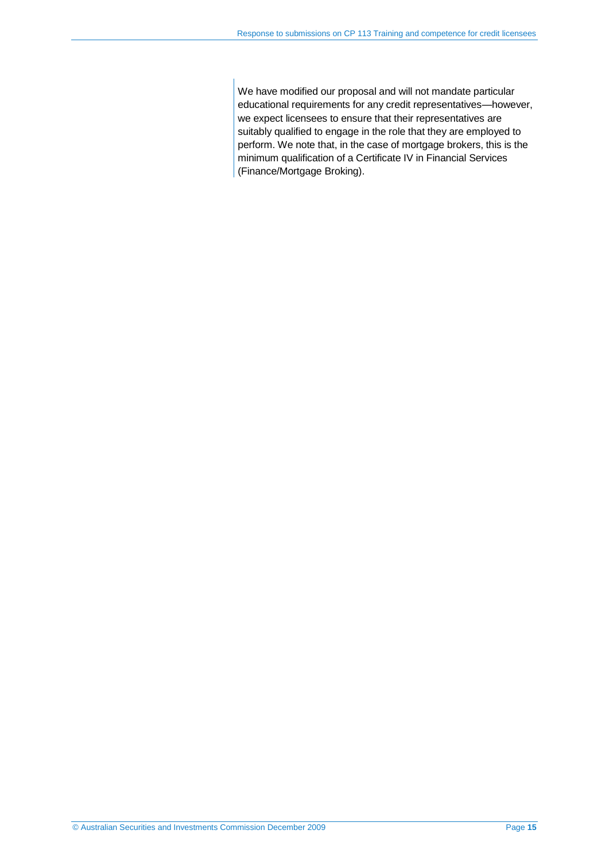We have modified our proposal and will not mandate particular educational requirements for any credit representatives—however, we expect licensees to ensure that their representatives are suitably qualified to engage in the role that they are employed to perform. We note that, in the case of mortgage brokers, this is the minimum qualification of a Certificate IV in Financial Services (Finance/Mortgage Broking).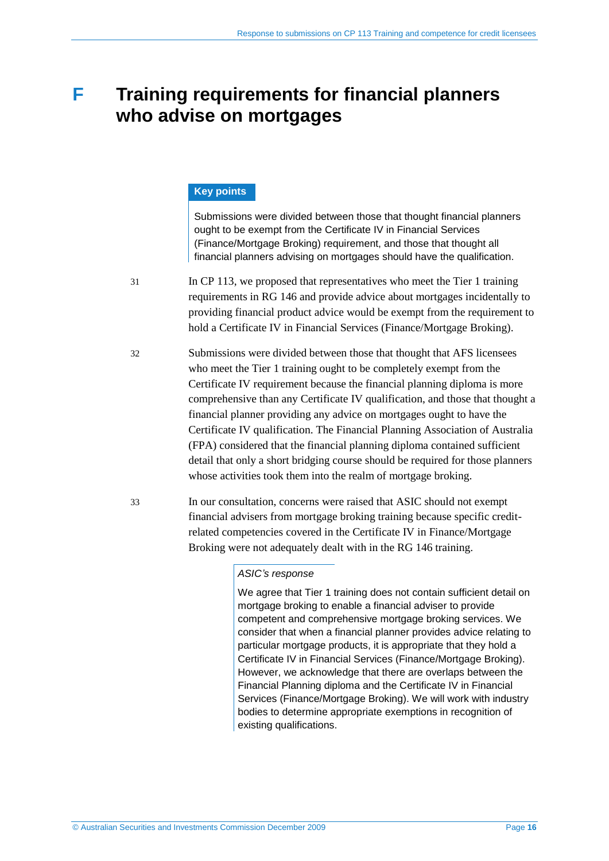# <span id="page-15-0"></span>**F Training requirements for financial planners who advise on mortgages**

#### **Key points**

Submissions were divided between those that thought financial planners ought to be exempt from the Certificate IV in Financial Services (Finance/Mortgage Broking) requirement, and those that thought all financial planners advising on mortgages should have the qualification.

- 31 In CP 113, we proposed that representatives who meet the Tier 1 training requirements in RG 146 and provide advice about mortgages incidentally to providing financial product advice would be exempt from the requirement to hold a Certificate IV in Financial Services (Finance/Mortgage Broking).
- 32 Submissions were divided between those that thought that AFS licensees who meet the Tier 1 training ought to be completely exempt from the Certificate IV requirement because the financial planning diploma is more comprehensive than any Certificate IV qualification, and those that thought a financial planner providing any advice on mortgages ought to have the Certificate IV qualification. The Financial Planning Association of Australia (FPA) considered that the financial planning diploma contained sufficient detail that only a short bridging course should be required for those planners whose activities took them into the realm of mortgage broking.
- 33 In our consultation, concerns were raised that ASIC should not exempt financial advisers from mortgage broking training because specific creditrelated competencies covered in the Certificate IV in Finance/Mortgage Broking were not adequately dealt with in the RG 146 training.

#### *ASIC's response*

We agree that Tier 1 training does not contain sufficient detail on mortgage broking to enable a financial adviser to provide competent and comprehensive mortgage broking services. We consider that when a financial planner provides advice relating to particular mortgage products, it is appropriate that they hold a Certificate IV in Financial Services (Finance/Mortgage Broking). However, we acknowledge that there are overlaps between the Financial Planning diploma and the Certificate IV in Financial Services (Finance/Mortgage Broking). We will work with industry bodies to determine appropriate exemptions in recognition of existing qualifications.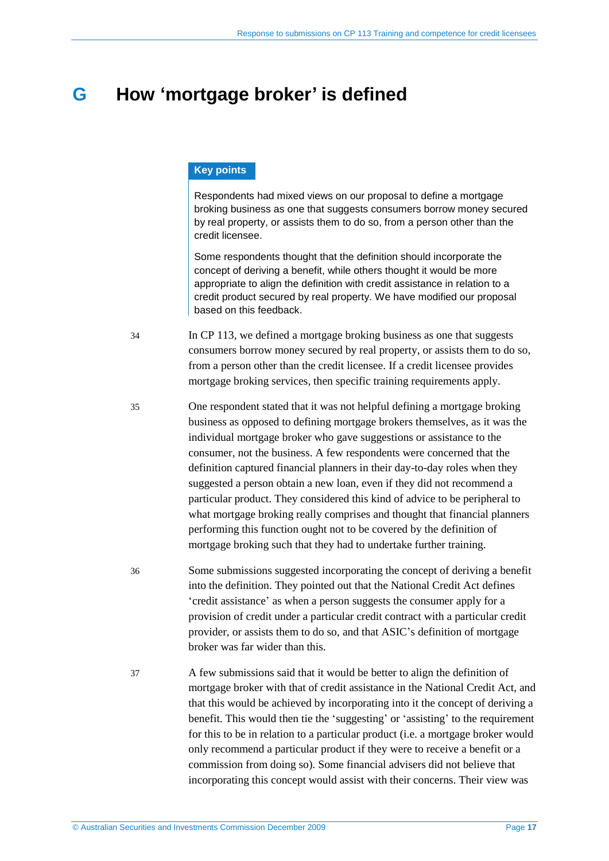# <span id="page-16-0"></span>**G How 'mortgage broker' is defined**

#### **Key points**

Respondents had mixed views on our proposal to define a mortgage broking business as one that suggests consumers borrow money secured by real property, or assists them to do so, from a person other than the credit licensee.

Some respondents thought that the definition should incorporate the concept of deriving a benefit, while others thought it would be more appropriate to align the definition with credit assistance in relation to a credit product secured by real property. We have modified our proposal based on this feedback.

- 34 In CP 113, we defined a mortgage broking business as one that suggests consumers borrow money secured by real property, or assists them to do so, from a person other than the credit licensee. If a credit licensee provides mortgage broking services, then specific training requirements apply.
- 35 One respondent stated that it was not helpful defining a mortgage broking business as opposed to defining mortgage brokers themselves, as it was the individual mortgage broker who gave suggestions or assistance to the consumer, not the business. A few respondents were concerned that the definition captured financial planners in their day-to-day roles when they suggested a person obtain a new loan, even if they did not recommend a particular product. They considered this kind of advice to be peripheral to what mortgage broking really comprises and thought that financial planners performing this function ought not to be covered by the definition of mortgage broking such that they had to undertake further training.
- 36 Some submissions suggested incorporating the concept of deriving a benefit into the definition. They pointed out that the National Credit Act defines 'credit assistance' as when a person suggests the consumer apply for a provision of credit under a particular credit contract with a particular credit provider, or assists them to do so, and that ASIC's definition of mortgage broker was far wider than this.
- 37 A few submissions said that it would be better to align the definition of mortgage broker with that of credit assistance in the National Credit Act, and that this would be achieved by incorporating into it the concept of deriving a benefit. This would then tie the 'suggesting' or 'assisting' to the requirement for this to be in relation to a particular product (i.e. a mortgage broker would only recommend a particular product if they were to receive a benefit or a commission from doing so). Some financial advisers did not believe that incorporating this concept would assist with their concerns. Their view was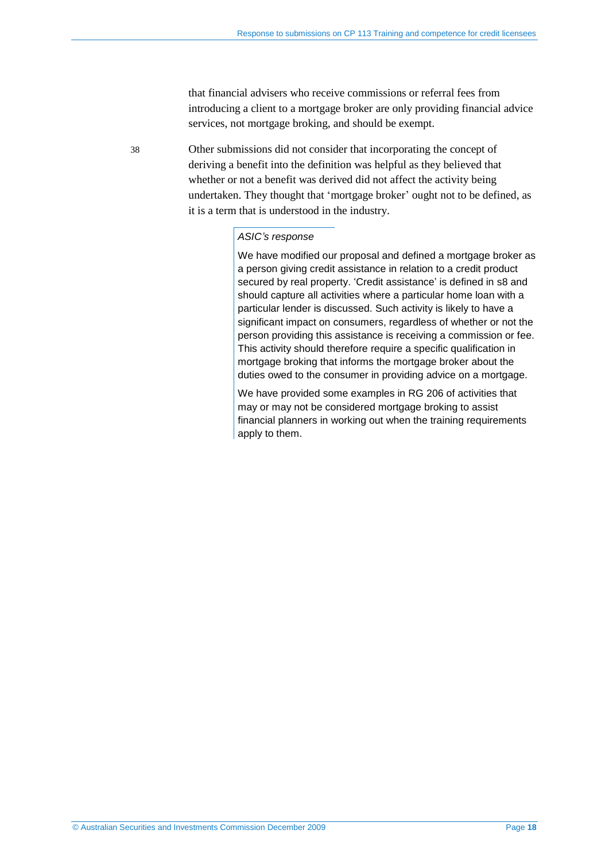that financial advisers who receive commissions or referral fees from introducing a client to a mortgage broker are only providing financial advice services, not mortgage broking, and should be exempt.

38 Other submissions did not consider that incorporating the concept of deriving a benefit into the definition was helpful as they believed that whether or not a benefit was derived did not affect the activity being undertaken. They thought that 'mortgage broker' ought not to be defined, as it is a term that is understood in the industry.

#### *ASIC's response*

We have modified our proposal and defined a mortgage broker as a person giving credit assistance in relation to a credit product secured by real property. 'Credit assistance' is defined in s8 and should capture all activities where a particular home loan with a particular lender is discussed. Such activity is likely to have a significant impact on consumers, regardless of whether or not the person providing this assistance is receiving a commission or fee. This activity should therefore require a specific qualification in mortgage broking that informs the mortgage broker about the duties owed to the consumer in providing advice on a mortgage.

We have provided some examples in RG 206 of activities that may or may not be considered mortgage broking to assist financial planners in working out when the training requirements apply to them.